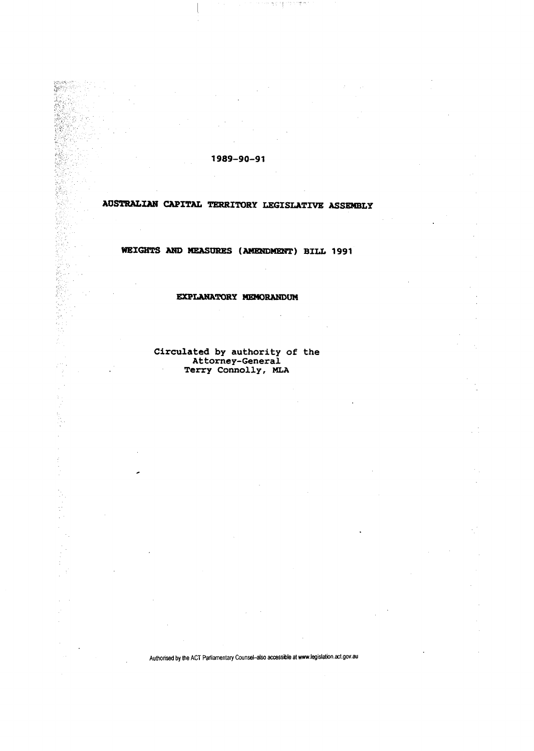**1989-90-91** 

egari<br>Geltij

terester<br>Statistike

 $\frac{1}{2} \epsilon$ 

1、 1、 2、 2、 2、 1、

ý,

不可以

 $\frac{1}{\sqrt{2}}$  $\frac{1}{2}$ t,

 $\bar{z}$ 

 $\ddot{\phantom{a}}$ 

 $\label{eq:2.1} \mathcal{L}_{\mathcal{A}}(\mathcal{A}) = \mathcal{L}_{\mathcal{A}}(\mathcal{A}) + \mathcal{L}_{\mathcal{A}}(\mathcal{A}) = \mathcal{L}_{\mathcal{A}}(\mathcal{A}) + \sum_{i=1}^n \mathcal{L}_{\mathcal{A}}(\mathcal{A}) \sum_{i=1}^n \mathcal{A}^i_{\mathcal{A}}$ 

# **AOSTRALIAN CAPITAL TERRITORY LEGISLATIVE ASSEMBLY**

## **HEIGHTS AND MEASURES (AMENDMENT) BILL 1991**

## **EXPLANATORY MEMORANDUM**

**Circulated by** authority of the Attorney-General Terry Connolly, MLA

÷.

t,

Authorised by the ACT Parliamentary Counsel-also accessible at www.legislation.act.gov.au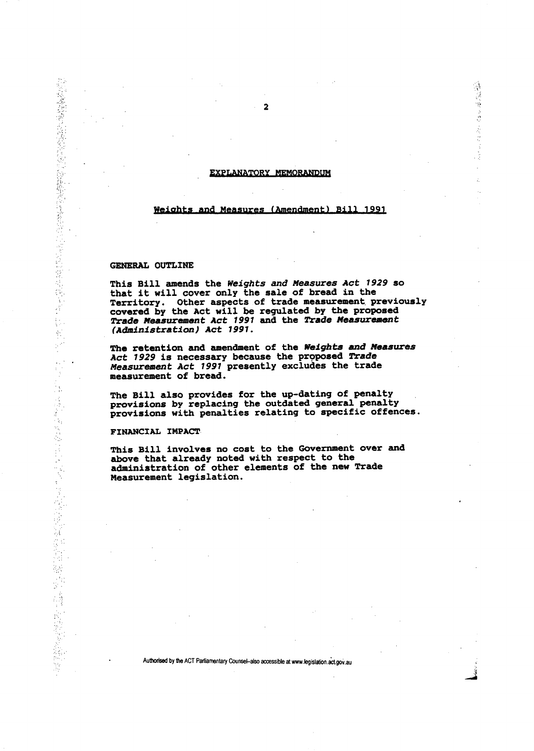#### **EXPLANATORY MEMORANDUM**

## **Weights and Measures (Amendment) Bill 1991**

## **GENERAL OUTLINE**

医生物 经未增益的现在分词 化硫酸盐 医皮肤病 医神经病 医心室 医心房 医中间性的 医中间的 医血管

医大脑性 医大脑性脊髓炎 医心包 医心包 医心包 医阿尔伯氏试验检尿道检尿道检尿道检尿道检尿道检尿道检尿道检尿道检尿道检尿道检尿道检尿道检尿道 医心包 医心包 医心包性 医感觉性

**This Bill amends the** *Weights and Measures Act 1929* **so that it will cover only the sale of bread in the Territory. Other aspects of trade measurement previously covered by the Act will be regulated by the proposed**  *Trade Measurement Act 1991* **and the** *Trade Measurement (Administration) Act 1991.* 

**The retention and amendment of the** *Weights and Measures Act 1929* **is necessary because the proposed** *Trade Measurement Act 1991* **presently excludes the trade measurement of bread.** 

**The Bill also provides for the up-dating of penalty provisions by replacing the outdated general penalty provisions with penalties relating to specific offences.** 

### **FINANCIAL IMPACT**

**This Bill involves no cost to the Government over and above that already noted with respect to the administration of other elements of the new Trade Measurement legislation.** 

**Authorised by the ACT Parliamentary Counsel-also accessible at www.legislation.act.gov.au** 

(後)以後の時になる

ż,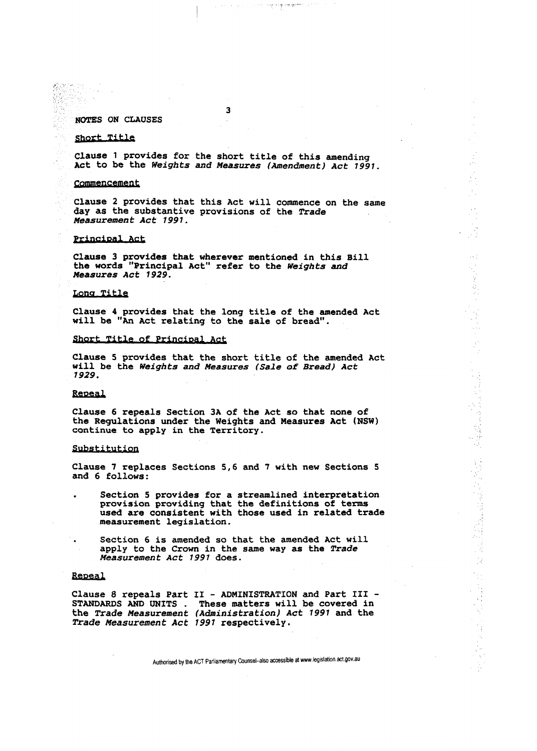**NOTES ON CLAUSES** 

#### **Short Title**

**Clause 1 provides for the short title of this amending Act to be the** *Weights and Measures (Amendment) Act 1991.* 

**3** 

a complete process to the state of the state of the

#### **Commencement**

**Clause 2 provides that this Act will commence on the same day as the substantive provisions of the** *Trade Measurement Act 1991.* 

 $\sim 10^{-4}$ 

## **Principal Act**

**Clause 3 provides that wherever mentioned in this Bill the words "Principal Act" refer to the** *Weights and Measures Act 1929.* 

## **Long Title**

**Clause 4 provides that the long title of the amended Act will be "An Act relating to the sale of bread".** 

## **Short Title of Principal Act**

**Clause 5 provides that the short title of the amended Act will be the** *Weights and Measures (Sale of Bread) Act 1929.* 

## **fifiBSai**

**Clause 6 repeals Section 3A of the Act so that none of the Regulations under the Weights and Measures Act (NSW) continue to apply in the Territory.** 

#### **Substitution,**

**Clause 7 replaces Sections 5,6 and 7 with new Sections 5 and 6 follows:** 

- **Section 5 provides for a streamlined interpretation provision providing that the definitions of terms used are consistent with those used in related trade measurement legislation.** 
	- **Section 6 is amended so that the amended Act will apply to the Crown in the same way as the** *Trade Measurement Act 1991* **does.**

#### **Repeal**

**Clause 8 repeals Part II - ADMINISTRATION and Part III - STANDARDS AND UNITS . These matters will be covered in the** *Trade Measurement (Administration) Act 1991* **and the**  *Trade Measurement Act 1991* **respectively.**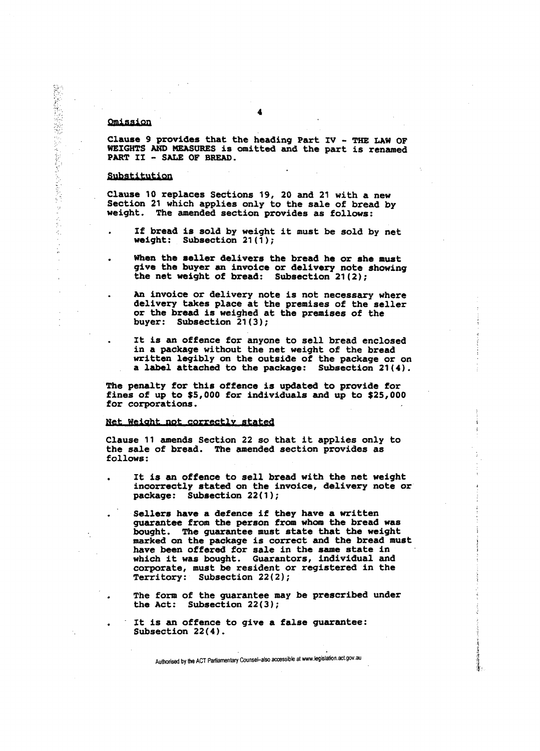## **Omission**

(特による)に、「このことをもっている」ということに、

医皮炎 k, **Clause 9 provides that the heading Part IV - THE LAW OF WEIGHTS AND MEASURES is omitted and the part is renamed PART II - SALE OF BREAD.** 

## **Substitution**

**Clause 10 replaces Sections 19, 20 and 21 with a new Section 21 which applies only to the sale of bread by weight. The amended section provides as follows:** 

- **If bread is sold by weight it must be sold by net weight: Subsection 21(1);**
- **When the seller delivers the bread he or she must give the buyer an invoice or delivery note showing the net weight of bread: Subsection 21(2);** 
	- **An invoice or delivery note is not necessary where delivery takes place at the premises of the seller or the bread is weighed at the premises of the buyer: Subsection 21(3);**
	- **It is an offence for anyone to sell bread enclosed in a package without the net weight of the bread written legibly on the outside of the package or on a label attached to the package: Subsection 21(4).**

**The penalty for this offence is updated to provide for fines of up to \$5,000 for individuals and up to \$25,000 for corporations.** 

## **Net weight not correctly stated**

**Clause 11 amends Section 22 so that it applies only to the sale of bread. The amended section provides as follows:** 

- **It is an offence to sell bread with the net weight incorrectly stated on the invoice, delivery note or package: Subsection 22(1);** 
	- **Sellers have a defence if they have a written guarantee from the person from whom the bread was bought. The guarantee must state that the weight marked on the package is correct and the bread must have been offered for sale in the same state in which it was bought. Guarantors, individual and corporate, must be resident or registered in the Territory: Subsection 22(2);**
	- **The form of the guarantee may be prescribed under the Act: Subsection 22(3);**
	- **It is an offence to give a false guarantee: Subsection 22(4).**

Authorised by the ACT Parliamentary Counsel-also accessible at www.legislation.act.gov.au

落き。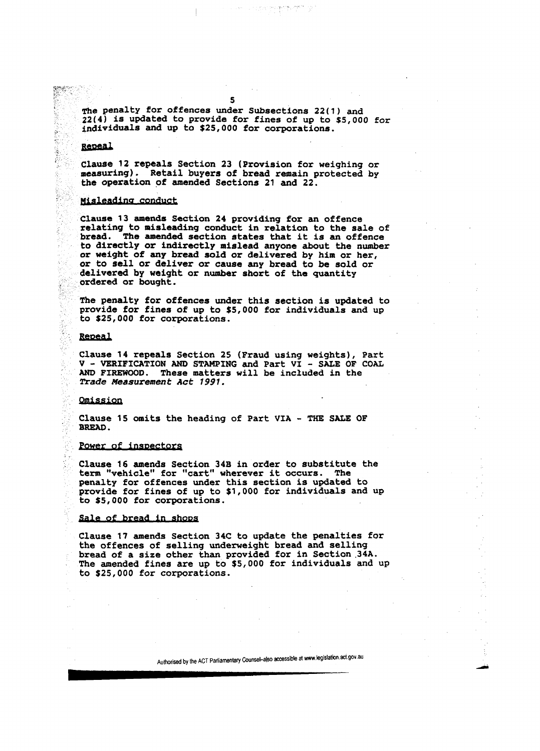**The penalty for offences under Subsections 22(1) and 22(4) is updated to provide for fines of up to \$5,000 for individuals and up to \$25,000 for corporations.** 

#### **Repeal**

eneri

● 高等にをおける

**Clause 12 repeals Section 23 (Provision for weighing or measuring). Retail buyers of bread remain protected by the operation of amended Sections 21 and 22.** 

#### **impleading conduct**

**Clause 13 amends Section 24 providing for an offence relating to misleading conduct in relation to the sale of bread. The amended section states that it is an offence to directly or indirectly mislead anyone about the number or weight of any bread sold or delivered by him or her, or to sell or deliver or cause any bread to be sold or delivered by weight or number short of the quantity ordered or bought.** 

**The penalty for offences under this section is updated to provide for fines of up to \$5,000 for individuals and up to \$25,000 for corporations.** 

#### **Repeal**

**Clause 14 repeals Section 25 (Fraud using weights), Part V - VERIFICATION AND STAMPING and Part VI - SALE OF COAL AND FIREWOOD. These matters will be included in the 2xade** *Measurement Act 1991.* 

#### **Omission**

**Clause 15 omits the heading of Part VIA - THE SALE OF BREAD.** 

## **Power of inspectors**

**Clause 16 amends Section 34B in order to substitute the term "vehicle" for "cart" wherever it occurs. The penalty for offences under this section is updated to provide for fines of up to \$1,000 for individuals and up to \$5,000 for corporations.** 

## **Sale of bread in shops**

**Clause 17 amends Section 34C to update the penalties for the offences of selling underweight bread and selling bread of a size other than provided for in Section .34A. The amended fines are up to \$5,000 for individuals and up to \$25,000 for corporations.**